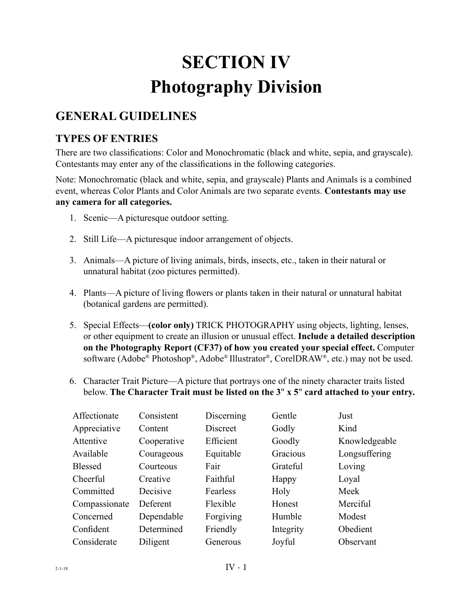# **SECTION IV Photography Division**

## **GENERAL GUIDELINES**

### **TYPES OF ENTRIES**

There are two classifications: Color and Monochromatic (black and white, sepia, and grayscale). Contestants may enter any of the classifications in the following categories.

Note: Monochromatic (black and white, sepia, and grayscale) Plants and Animals is a combined event, whereas Color Plants and Color Animals are two separate events. **Contestants may use any camera for all categories.**

- 1. Scenic—A picturesque outdoor setting.
- 2. Still Life—A picturesque indoor arrangement of objects.
- 3. Animals––A picture of living animals, birds, insects, etc., taken in their natural or unnatural habitat (zoo pictures permitted).
- 4. Plants––A picture of living flowers or plants taken in their natural or unnatural habitat (botanical gardens are permitted).
- 5. Special Effects—**(color only)** TRICK PHOTOGRAPHY using objects, lighting, lenses, or other equipment to create an illusion or unusual effect. **Include a detailed description on the Photography Report (CF37) of how you created your special effect.** Computer software (Adobe® Photoshop®, Adobe® Illustrator®, CorelDRAW®, etc.) may not be used.
- 6. Character Trait Picture—A picture that portrays one of the ninety character traits listed below. **The Character Trait must be listed on the 3**" **x 5**" **card attached to your entry.**

| Affectionate   | Consistent  | Discerning | Gentle    | Just          |
|----------------|-------------|------------|-----------|---------------|
| Appreciative   | Content     | Discreet   | Godly     | Kind          |
| Attentive      | Cooperative | Efficient  | Goodly    | Knowledgeable |
| Available      | Courageous  | Equitable  | Gracious  | Longsuffering |
| <b>Blessed</b> | Courteous   | Fair       | Grateful  | Loving        |
| Cheerful       | Creative    | Faithful   | Happy     | Loyal         |
| Committed      | Decisive    | Fearless   | Holy      | Meek          |
| Compassionate  | Deferent    | Flexible   | Honest    | Merciful      |
| Concerned      | Dependable  | Forgiving  | Humble    | Modest        |
| Confident      | Determined  | Friendly   | Integrity | Obedient      |
| Considerate    | Diligent    | Generous   | Joyful    | Observant     |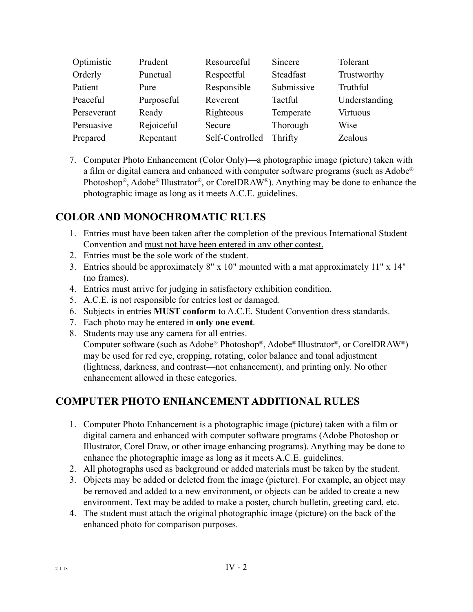| Optimistic  | Prudent    | Resourceful     | Sincere    | Tolerant        |
|-------------|------------|-----------------|------------|-----------------|
| Orderly     | Punctual   | Respectful      | Steadfast  | Trustworthy     |
| Patient     | Pure       | Responsible     | Submissive | Truthful        |
| Peaceful    | Purposeful | Reverent        | Tactful    | Understanding   |
| Perseverant | Ready      | Righteous       | Temperate  | <b>Virtuous</b> |
| Persuasive  | Rejoiceful | Secure          | Thorough   | Wise            |
| Prepared    | Repentant  | Self-Controlled | Thrifty    | Zealous         |

7. Computer Photo Enhancement (Color Only)—a photographic image (picture) taken with a film or digital camera and enhanced with computer software programs (such as Adobe® Photoshop®, Adobe® Illustrator®, or CorelDRAW®). Anything may be done to enhance the photographic image as long as it meets A.C.E. guidelines.

#### **COLOR AND MONOCHROMATIC RULES**

- 1. Entries must have been taken after the completion of the previous International Student Convention and must not have been entered in any other contest.
- 2. Entries must be the sole work of the student.
- 3. Entries should be approximately 8" x 10" mounted with a mat approximately 11" x 14" (no frames).
- 4. Entries must arrive for judging in satisfactory exhibition condition.
- 5. A.C.E. is not responsible for entries lost or damaged.
- 6. Subjects in entries **MUST conform** to A.C.E. Student Convention dress standards.
- 7. Each photo may be entered in **only one event**.
- 8. Students may use any camera for all entries.

Computer software (such as Adobe® Photoshop®, Adobe® Illustrator®, or CorelDRAW®) may be used for red eye, cropping, rotating, color balance and tonal adjustment (lightness, darkness, and contrast—not enhancement), and printing only. No other enhancement allowed in these categories.

#### **COMPUTER PHOTO ENHANCEMENT ADDITIONAL RULES**

- 1. Computer Photo Enhancement is a photographic image (picture) taken with a film or digital camera and enhanced with computer software programs (Adobe Photoshop or Illustrator, Corel Draw, or other image enhancing programs). Anything may be done to enhance the photographic image as long as it meets A.C.E. guidelines.
- 2. All photographs used as background or added materials must be taken by the student.
- 3. Objects may be added or deleted from the image (picture). For example, an object may be removed and added to a new environment, or objects can be added to create a new environment. Text may be added to make a poster, church bulletin, greeting card, etc.
- 4. The student must attach the original photographic image (picture) on the back of the enhanced photo for comparison purposes.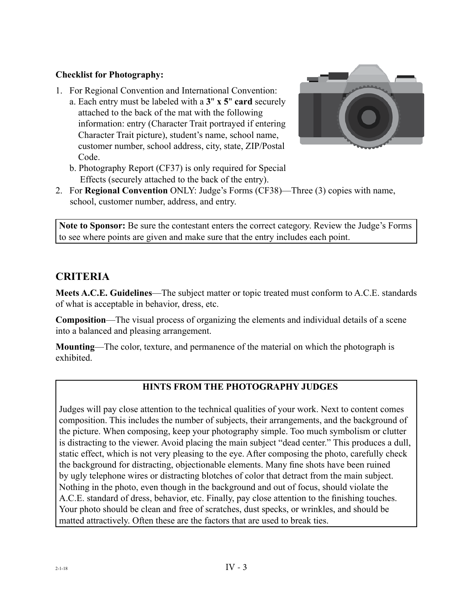#### **Checklist for Photography:**

1. For Regional Convention and International Convention: a. Each entry must be labeled with a **3**" **x 5**" **card** securely attached to the back of the mat with the following information: entry (Character Trait portrayed if entering Character Trait picture), student's name, school name, customer number, school address, city, state, ZIP/Postal Code.



- b. Photography Report (CF37) is only required for Special Effects (securely attached to the back of the entry).
- 2. For **Regional Convention** ONLY: Judge's Forms (CF38)—Three (3) copies with name, school, customer number, address, and entry.

**Note to Sponsor:** Be sure the contestant enters the correct category. Review the Judge's Forms to see where points are given and make sure that the entry includes each point.

### **CRITERIA**

**Meets A.C.E. Guidelines**—The subject matter or topic treated must conform to A.C.E. standards of what is acceptable in behavior, dress, etc.

**Composition**—The visual process of organizing the elements and individual details of a scene into a balanced and pleasing arrangement.

**Mounting**—The color, texture, and permanence of the material on which the photograph is exhibited.

#### **HINTS FROM THE PHOTOGRAPHY JUDGES**

Judges will pay close attention to the technical qualities of your work. Next to content comes composition. This includes the number of subjects, their arrangements, and the background of the picture. When composing, keep your photography simple. Too much symbolism or clutter is distracting to the viewer. Avoid placing the main subject "dead center." This produces a dull, static effect, which is not very pleasing to the eye. After composing the photo, carefully check the background for distracting, objectionable elements. Many fine shots have been ruined by ugly telephone wires or distracting blotches of color that detract from the main subject. Nothing in the photo, even though in the background and out of focus, should violate the A.C.E. standard of dress, behavior, etc. Finally, pay close attention to the finishing touches. Your photo should be clean and free of scratches, dust specks, or wrinkles, and should be matted attractively. Often these are the factors that are used to break ties.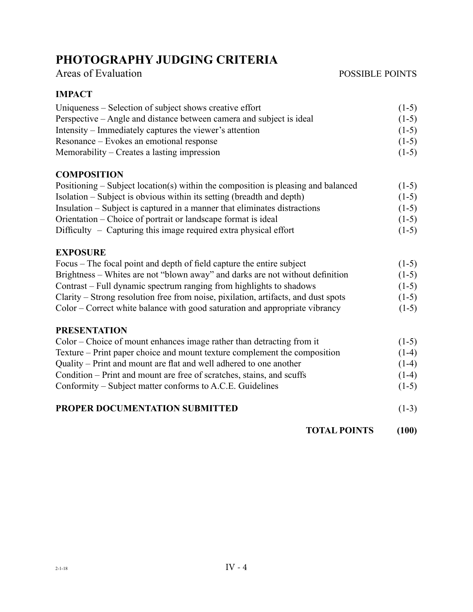# **PHOTOGRAPHY JUDGING CRITERIA**

#### Areas of Evaluation POSSIBLE POINTS

#### **IMPACT**

| Uniqueness – Selection of subject shows creative effort              | $(1-5)$ |
|----------------------------------------------------------------------|---------|
| Perspective – Angle and distance between camera and subject is ideal | $(1-5)$ |
| Intensity – Immediately captures the viewer's attention              | $(1-5)$ |
| Resonance – Evokes an emotional response                             | $(1-5)$ |
| Memorability – Creates a lasting impression                          | $(1-5)$ |

#### **COMPOSITION**

| Positioning – Subject location(s) within the composition is pleasing and balanced | $(1-5)$ |
|-----------------------------------------------------------------------------------|---------|
| Isolation – Subject is obvious within its setting (breadth and depth)             | $(1-5)$ |
| Insulation – Subject is captured in a manner that eliminates distractions         | $(1-5)$ |
| Orientation – Choice of portrait or landscape format is ideal                     | $(1-5)$ |
| $Difficulty - Capturing this image required extra physical effort$                | $(1-5)$ |

#### **EXPOSURE**

| Focus – The focal point and depth of field capture the entire subject              | $(1-5)$ |
|------------------------------------------------------------------------------------|---------|
| Brightness – Whites are not "blown away" and darks are not without definition      | $(1-5)$ |
| Contrast – Full dynamic spectrum ranging from highlights to shadows                | $(1-5)$ |
| Clarity – Strong resolution free from noise, pixilation, artifacts, and dust spots | $(1-5)$ |
| Color – Correct white balance with good saturation and appropriate vibrancy        | $(1-5)$ |

#### **PRESENTATION**

| Color – Choice of mount enhances image rather than detracting from it     | $(1-5)$ |
|---------------------------------------------------------------------------|---------|
| Texture – Print paper choice and mount texture complement the composition | $(1-4)$ |
| Quality – Print and mount are flat and well adhered to one another        | $(1-4)$ |
| Condition – Print and mount are free of scratches, stains, and scuffs     | $(1-4)$ |
| Conformity – Subject matter conforms to A.C.E. Guidelines                 | $(1-5)$ |
|                                                                           |         |

#### **PROPER DOCUMENTATION SUBMITTED** (1-3)

 **TOTAL POINTS (100)**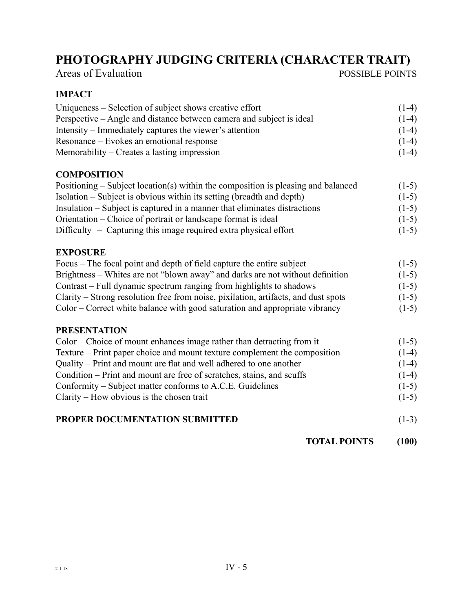# **PHOTOGRAPHY JUDGING CRITERIA (CHARACTER TRAIT)**

| Areas of Evaluation |  |  |  |  |
|---------------------|--|--|--|--|
|---------------------|--|--|--|--|

POSSIBLE POINTS

#### **IMPACT**

| Uniqueness – Selection of subject shows creative effort              | $(1-4)$ |
|----------------------------------------------------------------------|---------|
| Perspective – Angle and distance between camera and subject is ideal | $(1-4)$ |
| Intensity – Immediately captures the viewer's attention              | $(1-4)$ |
| Resonance – Evokes an emotional response                             | $(1-4)$ |
| Memorability – Creates a lasting impression                          | $(1-4)$ |

#### **COMPOSITION**

| Positioning – Subject location(s) within the composition is pleasing and balanced | $(1-5)$ |
|-----------------------------------------------------------------------------------|---------|
| Isolation – Subject is obvious within its setting (breadth and depth)             | $(1-5)$ |
| Insulation – Subject is captured in a manner that eliminates distractions         | $(1-5)$ |
| Orientation – Choice of portrait or landscape format is ideal                     | $(1-5)$ |
| $Difficulty - Capturning this image required extra physical effort$               | $(1-5)$ |

#### **EXPOSURE**

| Focus – The focal point and depth of field capture the entire subject              | $(1-5)$ |
|------------------------------------------------------------------------------------|---------|
| Brightness – Whites are not "blown away" and darks are not without definition      | $(1-5)$ |
| Contrast – Full dynamic spectrum ranging from highlights to shadows                | $(1-5)$ |
| Clarity – Strong resolution free from noise, pixilation, artifacts, and dust spots | $(1-5)$ |
| Color – Correct white balance with good saturation and appropriate vibrancy        | $(1-5)$ |

#### **PRESENTATION**

| Color – Choice of mount enhances image rather than detracting from it     | $(1-5)$ |
|---------------------------------------------------------------------------|---------|
| Texture – Print paper choice and mount texture complement the composition | $(1-4)$ |
| Quality – Print and mount are flat and well adhered to one another        | $(1-4)$ |
| Condition – Print and mount are free of scratches, stains, and scuffs     | $(1-4)$ |
| Conformity – Subject matter conforms to A.C.E. Guidelines                 | $(1-5)$ |
| $Clarity$ – How obvious is the chosen trait                               | $(1-5)$ |
|                                                                           |         |

#### **PROPER DOCUMENTATION SUBMITTED** (1-3)

 **TOTAL POINTS (100)**